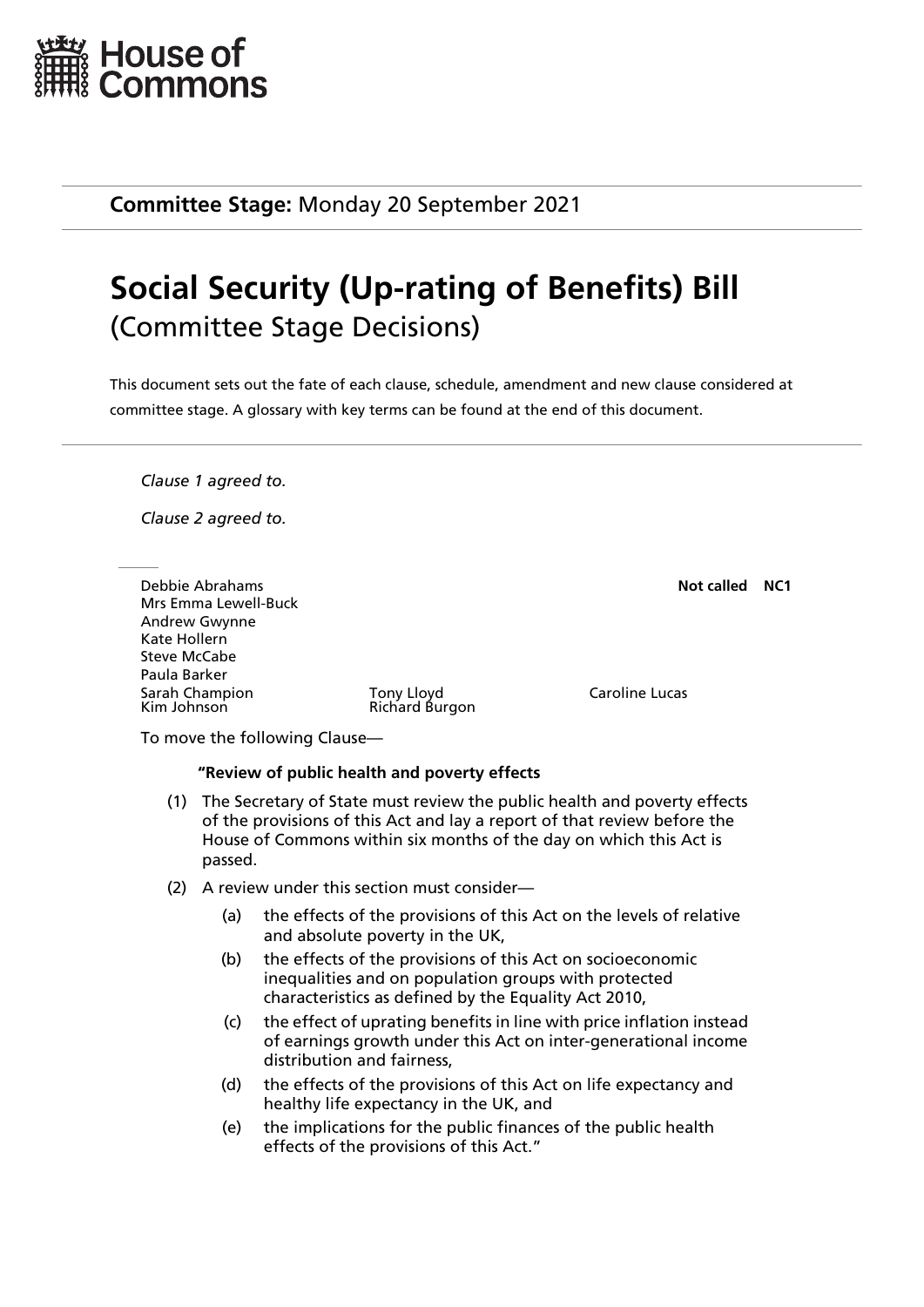

**Committee Stage:** Monday 20 September 2021

## **Social Security (Up-rating of Benefits) Bill** (Committee Stage Decisions)

This document sets out the fate of each clause, schedule, amendment and new clause considered at committee stage. A glossary with key terms can be found at the end of this document.

*Clause 1 agreed to.*

*Clause 2 agreed to.*

Debbie Abrahams **Not called NC1** Mrs Emma Lewell-Buck Andrew Gwynne Kate Hollern Steve McCabe Paula Barker Sarah Champion Tony Lloyd Caroline Lucas

Richard Burgon

To move the following Clause—

## **"Review of public health and poverty effects**

- (1) The Secretary of State must review the public health and poverty effects of the provisions of this Act and lay a report of that review before the House of Commons within six months of the day on which this Act is passed.
- (2) A review under this section must consider—
	- (a) the effects of the provisions of this Act on the levels of relative and absolute poverty in the UK,
	- (b) the effects of the provisions of this Act on socioeconomic inequalities and on population groups with protected characteristics as defined by the Equality Act 2010,
	- (c) the effect of uprating benefits in line with price inflation instead of earnings growth under this Act on inter-generational income distribution and fairness,
	- (d) the effects of the provisions of this Act on life expectancy and healthy life expectancy in the UK, and
	- (e) the implications for the public finances of the public health effects of the provisions of this Act."